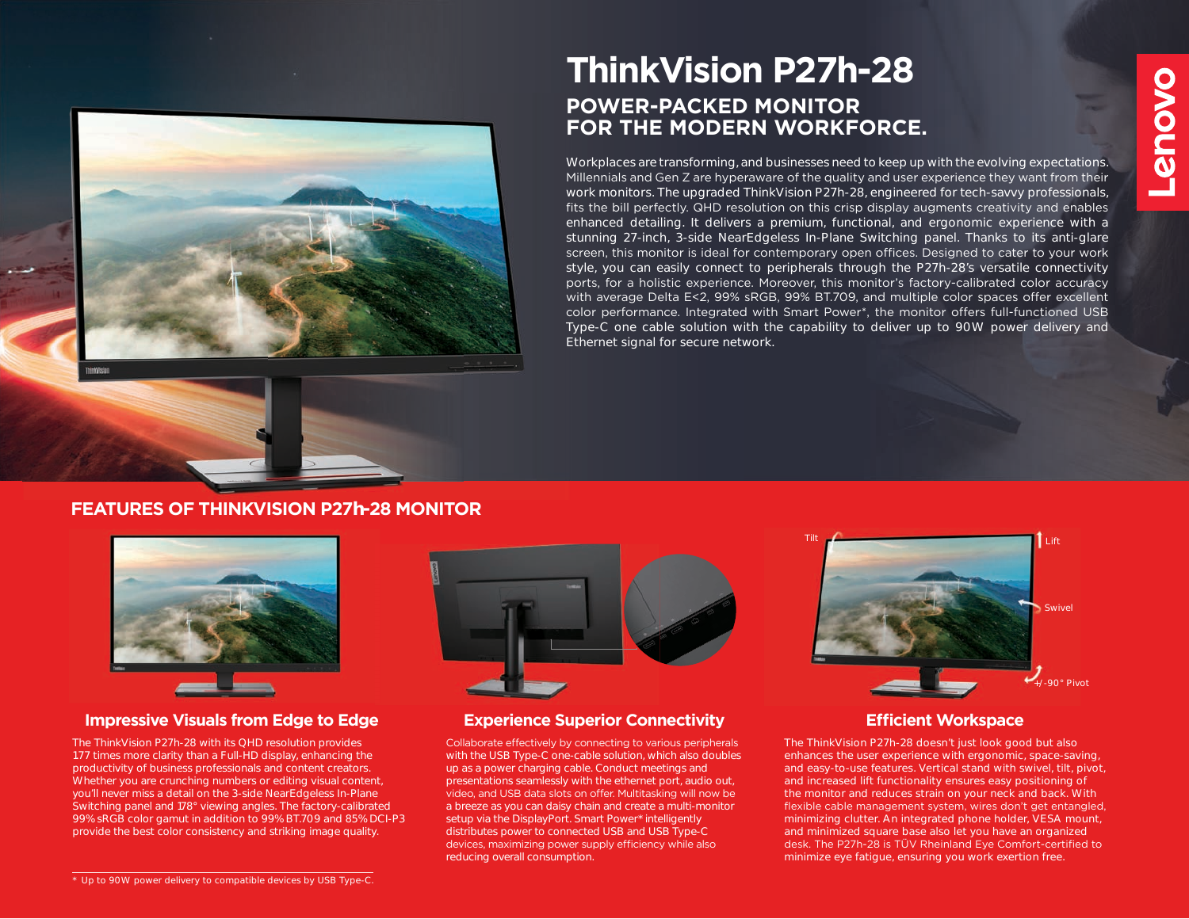

# **POWER-PACKED MONITOR FOR THE MODERN WORKFORCE. ThinkVision P27h-28**

Workplaces are transforming, and businesses need to keep up with the evolving expectations. Millennials and Gen Z are hyperaware of the quality and user experience they want from their work monitors. The upgraded ThinkVision P27h-28, engineered for tech-savvy professionals, fits the bill perfectly. QHD resolution on this crisp display augments creativity and enables enhanced detailing. It delivers a premium, functional, and ergonomic experience with a stunning 27-inch, 3-side NearEdgeless In-Plane Switching panel. Thanks to its anti-glare screen, this monitor is ideal for contemporary open offices. Designed to cater to your work style, you can easily connect to peripherals through the P27h-28's versatile connectivity ports, for a holistic experience. Moreover, this monitor's factory-calibrated color accuracy with average Delta E<2, 99% sRGB, 99% BT.709, and multiple color spaces offer excellent color performance. Integrated with Smart Power\*, the monitor offers full-functioned USB Type-C one cable solution with the capability to deliver up to 90W power delivery and Ethernet signal for secure network.

### **FEATURES OF THINKVISION P27h-28 MONITOR**



### **Impressive Visuals from Edge to Edge Experience Superior Connectivity**

The ThinkVision P27h-28 with its QHD resolution provides 1.77 times more clarity than a Full-HD display, enhancing the productivity of business professionals and content creators. Whether you are crunching numbers or editing visual content, you'll never miss a detail on the 3-side NearEdgeless In-Plane Switching panel and 178° viewing angles. The factory-calibrated 99% sRGB color gamut in addition to 99% BT.709 and 85% DCI-P3 provide the best color consistency and striking image quality.



Collaborate effectively by connecting to various peripherals with the USB Type-C one-cable solution, which also doubles up as a power charging cable. Conduct meetings and presentations seamlessly with the ethernet port, audio out, video, and USB data slots on offer. Multitasking will now be a breeze as you can daisy chain and create a multi-monitor setup via the DisplayPort. Smart Power\* intelligently distributes power to connected USB and USB Type-C devices, maximizing power supply efficiency while also reducing overall consumption.



### **Efficient Workspace**

The ThinkVision P27h-28 doesn't just look good but also enhances the user experience with ergonomic, space-saving, and easy-to-use features. Vertical stand with swivel, tilt, pivot, and increased lift functionality ensures easy positioning of the monitor and reduces strain on your neck and back. With flexible cable management system, wires don't get entangled, minimizing clutter. An integrated phone holder, VESA mount, and minimized square base also let you have an organized desk. The P27h-28 is TÜV Rheinland Eye Comfort-certified to minimize eye fatigue, ensuring you work exertion free.